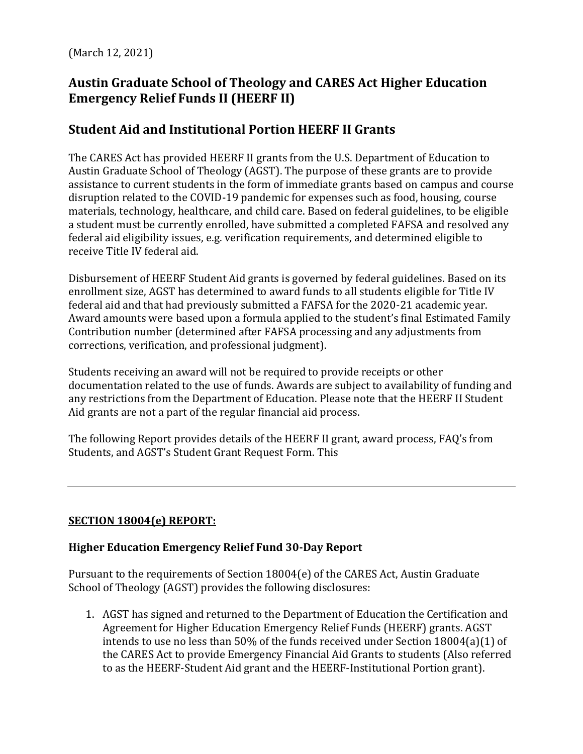(March 12, 2021)

# **Austin Graduate School of Theology and CARES Act Higher Education Emergency Relief Funds II (HEERF II)**

# **Student Aid and Institutional Portion HEERF II Grants**

The CARES Act has provided HEERF II grants from the U.S. Department of Education to Austin Graduate School of Theology (AGST). The purpose of these grants are to provide assistance to current students in the form of immediate grants based on campus and course disruption related to the COVID-19 pandemic for expenses such as food, housing, course materials, technology, healthcare, and child care. Based on federal guidelines, to be eligible a student must be currently enrolled, have submitted a completed FAFSA and resolved any federal aid eligibility issues, e.g. verification requirements, and determined eligible to receive Title IV federal aid.

Disbursement of HEERF Student Aid grants is governed by federal guidelines. Based on its enrollment size, AGST has determined to award funds to all students eligible for Title IV federal aid and that had previously submitted a FAFSA for the 2020-21 academic year. Award amounts were based upon a formula applied to the student's final Estimated Family Contribution number (determined after FAFSA processing and any adjustments from corrections, verification, and professional judgment).

Students receiving an award will not be required to provide receipts or other documentation related to the use of funds. Awards are subject to availability of funding and any restrictions from the Department of Education. Please note that the HEERF II Student Aid grants are not a part of the regular financial aid process.

The following Report provides details of the HEERF II grant, award process, FAQ's from Students, and AGST's Student Grant Request Form. This

## **SECTION 18004(e) REPORT:**

## **Higher Education Emergency Relief Fund 30-Day Report**

Pursuant to the requirements of Section 18004(e) of the CARES Act, Austin Graduate School of Theology (AGST) provides the following disclosures:

1. AGST has signed and returned to the Department of Education the Certification and Agreement for Higher Education Emergency Relief Funds (HEERF) grants. AGST intends to use no less than 50% of the funds received under Section 18004(a)(1) of the CARES Act to provide Emergency Financial Aid Grants to students (Also referred to as the HEERF-Student Aid grant and the HEERF-Institutional Portion grant).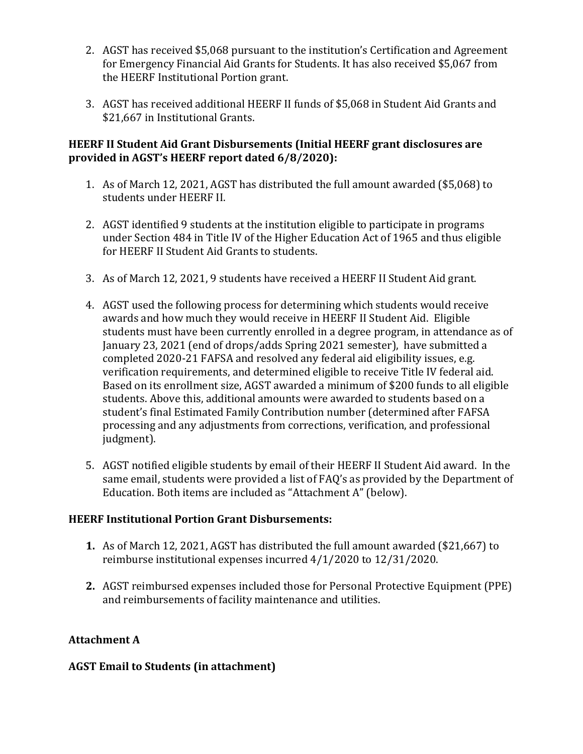- 2. AGST has received \$5,068 pursuant to the institution's Certification and Agreement for Emergency Financial Aid Grants for Students. It has also received \$5,067 from the HEERF Institutional Portion grant.
- 3. AGST has received additional HEERF II funds of \$5,068 in Student Aid Grants and \$21,667 in Institutional Grants.

#### **HEERF II Student Aid Grant Disbursements (Initial HEERF grant disclosures are provided in AGST's HEERF report dated 6/8/2020):**

- 1. As of March 12, 2021, AGST has distributed the full amount awarded (\$5,068) to students under HEERF II.
- 2. AGST identified 9 students at the institution eligible to participate in programs under Section 484 in Title IV of the Higher Education Act of 1965 and thus eligible for HEERF II Student Aid Grants to students.
- 3. As of March 12, 2021, 9 students have received a HEERF II Student Aid grant.
- 4. AGST used the following process for determining which students would receive awards and how much they would receive in HEERF II Student Aid. Eligible students must have been currently enrolled in a degree program, in attendance as of January 23, 2021 (end of drops/adds Spring 2021 semester), have submitted a completed 2020-21 FAFSA and resolved any federal aid eligibility issues, e.g. verification requirements, and determined eligible to receive Title IV federal aid. Based on its enrollment size, AGST awarded a minimum of \$200 funds to all eligible students. Above this, additional amounts were awarded to students based on a student's final Estimated Family Contribution number (determined after FAFSA processing and any adjustments from corrections, verification, and professional judgment).
- 5. AGST notified eligible students by email of their HEERF II Student Aid award. In the same email, students were provided a list of FAQ's as provided by the Department of Education. Both items are included as "Attachment A" (below).

## **HEERF Institutional Portion Grant Disbursements:**

- **1.** As of March 12, 2021, AGST has distributed the full amount awarded (\$21,667) to reimburse institutional expenses incurred 4/1/2020 to 12/31/2020.
- **2.** AGST reimbursed expenses included those for Personal Protective Equipment (PPE) and reimbursements of facility maintenance and utilities.

## **Attachment A**

## **AGST Email to Students (in attachment)**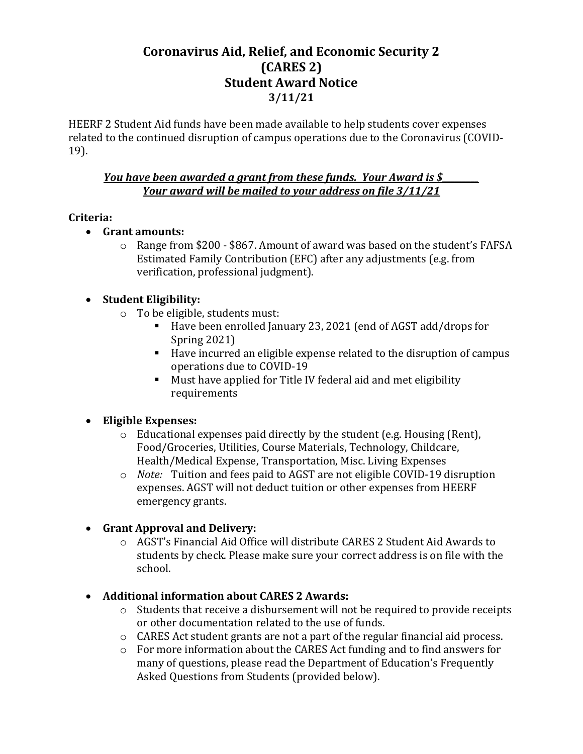## **Coronavirus Aid, Relief, and Economic Security 2 (CARES 2) Student Award Notice 3/11/21**

HEERF 2 Student Aid funds have been made available to help students cover expenses related to the continued disruption of campus operations due to the Coronavirus (COVID‐ 19).

#### *<u>You have been awarded a grant from these funds. Your Award is \$*</u> *Your award will be mailed to your address on file 3/11/21*

#### **Criteria:**

- **Grant amounts:** 
	- o Range from \$200 \$867. Amount of award was based on the student's FAFSA Estimated Family Contribution (EFC) after any adjustments (e.g. from verification, professional judgment).

#### **Student Eligibility:**

- o To be eligible, students must:
	- Have been enrolled January 23, 2021 (end of AGST add/drops for Spring 2021)
	- Have incurred an eligible expense related to the disruption of campus operations due to COVID‐19
	- Must have applied for Title IV federal aid and met eligibility requirements

## **Eligible Expenses:**

- o Educational expenses paid directly by the student (e.g. Housing (Rent), Food/Groceries, Utilities, Course Materials, Technology, Childcare, Health/Medical Expense, Transportation, Misc. Living Expenses
- o *Note:* Tuition and fees paid to AGST are not eligible COVID-19 disruption expenses. AGST will not deduct tuition or other expenses from HEERF emergency grants.

## **Grant Approval and Delivery:**

o AGST's Financial Aid Office will distribute CARES 2 Student Aid Awards to students by check. Please make sure your correct address is on file with the school.

## **Additional information about CARES 2 Awards:**

- o Students that receive a disbursement will not be required to provide receipts or other documentation related to the use of funds.
- o CARES Act student grants are not a part of the regular financial aid process.
- o For more information about the CARES Act funding and to find answers for many of questions, please read the Department of Education's Frequently Asked Questions from Students (provided below).